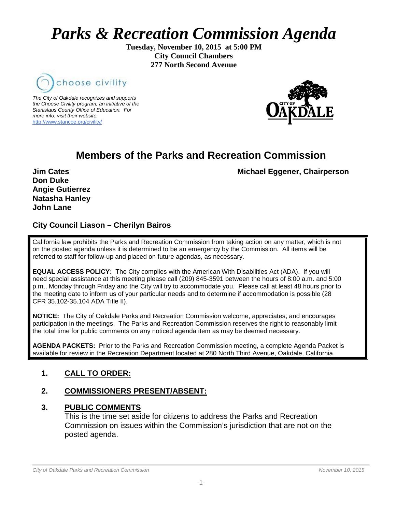# *Parks & Recreation Commission Agenda*

**Tuesday, November 10, 2015 at 5:00 PM City Council Chambers 277 North Second Avenue**



*The City of Oakdale recognizes and supports the Choose Civility program, an initiative of the Stanislaus County Office of Education. For more info. visit their website:* [http://www.stancoe.org/civility/](http://links.schoolloop.com/link/rd?href=736c5f6c696e6b6666303163633065623266687474703a2f2f7777772e7374616e636f652e6f72672f636976696c6974792f)



# **Members of the Parks and Recreation Commission**

**Jim Cates** Michael Eggener, Chairperson

**Don Duke Angie Gutierrez Natasha Hanley John Lane**

# **City Council Liason – Cherilyn Bairos**

California law prohibits the Parks and Recreation Commission from taking action on any matter, which is not on the posted agenda unless it is determined to be an emergency by the Commission. All items will be referred to staff for follow-up and placed on future agendas, as necessary.

**EQUAL ACCESS POLICY:** The City complies with the American With Disabilities Act (ADA). If you will need special assistance at this meeting please call (209) 845-3591 between the hours of 8:00 a.m. and 5:00 p.m., Monday through Friday and the City will try to accommodate you. Please call at least 48 hours prior to the meeting date to inform us of your particular needs and to determine if accommodation is possible (28 CFR 35.102-35.104 ADA Title II).

**NOTICE:** The City of Oakdale Parks and Recreation Commission welcome, appreciates, and encourages participation in the meetings. The Parks and Recreation Commission reserves the right to reasonably limit the total time for public comments on any noticed agenda item as may be deemed necessary.

**AGENDA PACKETS:** Prior to the Parks and Recreation Commission meeting, a complete Agenda Packet is available for review in the Recreation Department located at 280 North Third Avenue, Oakdale, California.

# **1. CALL TO ORDER:**

# **2. COMMISSIONERS PRESENT/ABSENT:**

#### **3. PUBLIC COMMENTS**

This is the time set aside for citizens to address the Parks and Recreation Commission on issues within the Commission's jurisdiction that are not on the posted agenda.